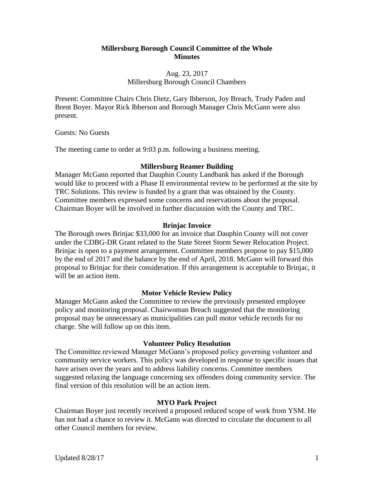#### **Millersburg Borough Council Committee of the Whole Minutes**

# Aug. 23, 2017 Millersburg Borough Council Chambers

Present: Committee Chairs Chris Dietz, Gary Ibberson, Joy Breach, Trudy Paden and Brent Boyer. Mayor Rick Ibberson and Borough Manager Chris McGann were also present.

Guests: No Guests

The meeting came to order at 9:03 p.m. following a business meeting.

# **Millersburg Reamer Building**

Manager McGann reported that Dauphin County Landbank has asked if the Borough would like to proceed with a Phase II environmental review to be performed at the site by TRC Solutions. This review is funded by a grant that was obtained by the County. Committee members expressed some concerns and reservations about the proposal. Chairman Boyer will be involved in further discussion with the County and TRC.

# **Brinjac Invoice**

The Borough owes Brinjac \$33,000 for an invoice that Dauphin County will not cover under the CDBG-DR Grant related to the State Street Storm Sewer Relocation Project. Brinjac is open to a payment arrangement. Committee members propose to pay \$15,000 by the end of 2017 and the balance by the end of April, 2018. McGann will forward this proposal to Brinjac for their consideration. If this arrangement is acceptable to Brinjac, it will be an action item.

# **Motor Vehicle Review Policy**

Manager McGann asked the Committee to review the previously presented employee policy and monitoring proposal. Chairwoman Breach suggested that the monitoring proposal may be unnecessary as municipalities can pull motor vehicle records for no charge. She will follow up on this item.

# **Volunteer Policy Resolution**

The Committee reviewed Manager McGann's proposed policy governing volunteer and community service workers. This policy was developed in response to specific issues that have arisen over the years and to address liability concerns. Committee members suggested relaxing the language concerning sex offenders doing community service. The final version of this resolution will be an action item.

# **MYO Park Project**

Chairman Boyer just recently received a proposed reduced scope of work from YSM. He has not had a chance to review it. McGann was directed to circulate the document to all other Council members for review.